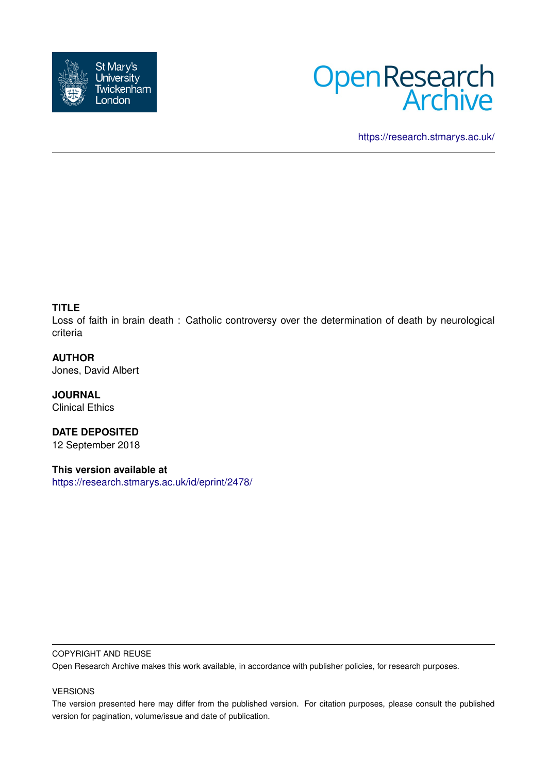



<https://research.stmarys.ac.uk/>

## **TITLE**

Loss of faith in brain death : Catholic controversy over the determination of death by neurological criteria

**AUTHOR** Jones, David Albert

**JOURNAL** Clinical Ethics

**DATE DEPOSITED** 12 September 2018

**This version available at** <https://research.stmarys.ac.uk/id/eprint/2478/>

## COPYRIGHT AND REUSE

Open Research Archive makes this work available, in accordance with publisher policies, for research purposes.

## VERSIONS

The version presented here may differ from the published version. For citation purposes, please consult the published version for pagination, volume/issue and date of publication.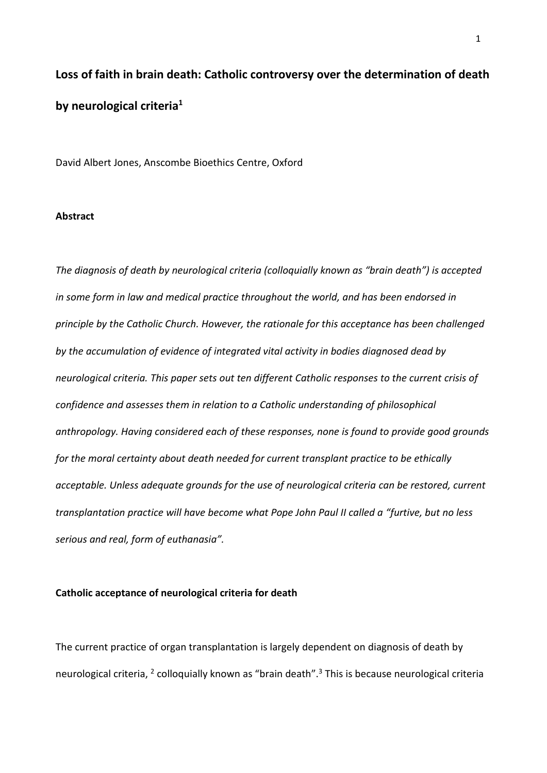# **Loss of faith in brain death: Catholic controversy over the determination of death by neurological criteria<sup>1</sup>**

David Albert Jones, Anscombe Bioethics Centre, Oxford

## **Abstract**

*The diagnosis of death by neurological criteria (colloquially known as "brain death") is accepted in some form in law and medical practice throughout the world, and has been endorsed in principle by the Catholic Church. However, the rationale for this acceptance has been challenged by the accumulation of evidence of integrated vital activity in bodies diagnosed dead by neurological criteria. This paper sets out ten different Catholic responses to the current crisis of confidence and assesses them in relation to a Catholic understanding of philosophical anthropology. Having considered each of these responses, none is found to provide good grounds for the moral certainty about death needed for current transplant practice to be ethically acceptable. Unless adequate grounds for the use of neurological criteria can be restored, current transplantation practice will have become what Pope John Paul II called a "furtive, but no less serious and real, form of euthanasia".*

## **Catholic acceptance of neurological criteria for death**

The current practice of organ transplantation is largely dependent on diagnosis of death by neurological criteria, <sup>2</sup> colloquially known as "brain death".<sup>3</sup> This is because neurological criteria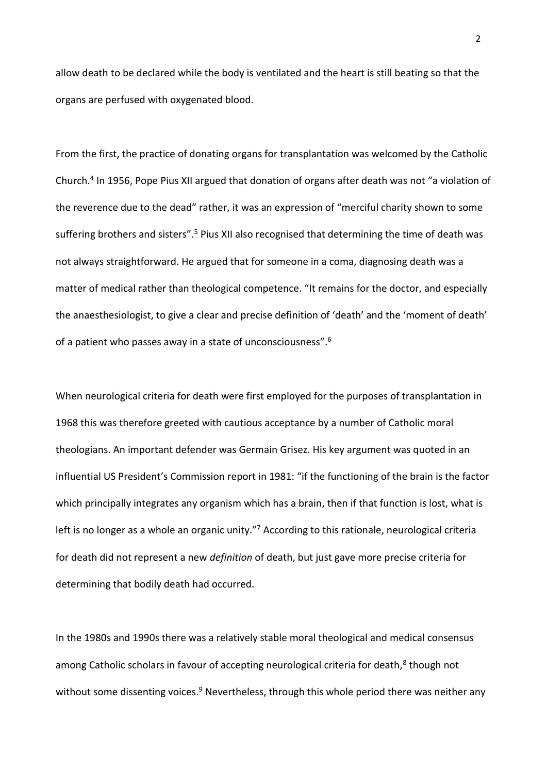allow death to be declared while the body is ventilated and the heart is still beating so that the organs are perfused with oxygenated blood.

From the first, the practice of donating organs for transplantation was welcomed by the Catholic Church.<sup>4</sup> In 1956, Pope Pius XII argued that donation of organs after death was not "a violation of the reverence due to the dead" rather, it was an expression of "merciful charity shown to some suffering brothers and sisters".<sup>5</sup> Pius XII also recognised that determining the time of death was not always straightforward. He argued that for someone in a coma, diagnosing death was a matter of medical rather than theological competence. "It remains for the doctor, and especially the anaesthesiologist, to give a clear and precise definition of 'death' and the 'moment of death' of a patient who passes away in a state of unconsciousness".<sup>6</sup>

When neurological criteria for death were first employed for the purposes of transplantation in 1968 this was therefore greeted with cautious acceptance by a number of Catholic moral theologians. An important defender was Germain Grisez. His key argument was quoted in an influential US President's Commission report in 1981: "if the functioning of the brain is the factor which principally integrates any organism which has a brain, then if that function is lost, what is left is no longer as a whole an organic unity."<sup>7</sup> According to this rationale, neurological criteria for death did not represent a new *definition* of death, but just gave more precise criteria for determining that bodily death had occurred.

In the 1980s and 1990s there was a relatively stable moral theological and medical consensus among Catholic scholars in favour of accepting neurological criteria for death,<sup>8</sup> though not without some dissenting voices.<sup>9</sup> Nevertheless, through this whole period there was neither any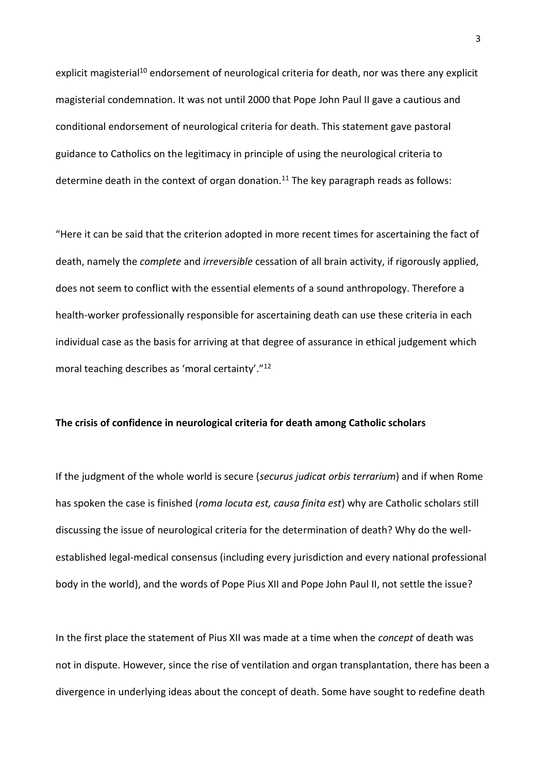explicit magisterial<sup>10</sup> endorsement of neurological criteria for death, nor was there any explicit magisterial condemnation. It was not until 2000 that Pope John Paul II gave a cautious and conditional endorsement of neurological criteria for death. This statement gave pastoral guidance to Catholics on the legitimacy in principle of using the neurological criteria to determine death in the context of organ donation.<sup>11</sup> The key paragraph reads as follows:

"Here it can be said that the criterion adopted in more recent times for ascertaining the fact of death, namely the *complete* and *irreversible* cessation of all brain activity, if rigorously applied, does not seem to conflict with the essential elements of a sound anthropology. Therefore a health-worker professionally responsible for ascertaining death can use these criteria in each individual case as the basis for arriving at that degree of assurance in ethical judgement which moral teaching describes as 'moral certainty'." 12

#### **The crisis of confidence in neurological criteria for death among Catholic scholars**

If the judgment of the whole world is secure (*securus judicat orbis terrarium*) and if when Rome has spoken the case is finished (*roma locuta est, causa finita est*) why are Catholic scholars still discussing the issue of neurological criteria for the determination of death? Why do the wellestablished legal-medical consensus (including every jurisdiction and every national professional body in the world), and the words of Pope Pius XII and Pope John Paul II, not settle the issue?

In the first place the statement of Pius XII was made at a time when the *concept* of death was not in dispute. However, since the rise of ventilation and organ transplantation, there has been a divergence in underlying ideas about the concept of death. Some have sought to redefine death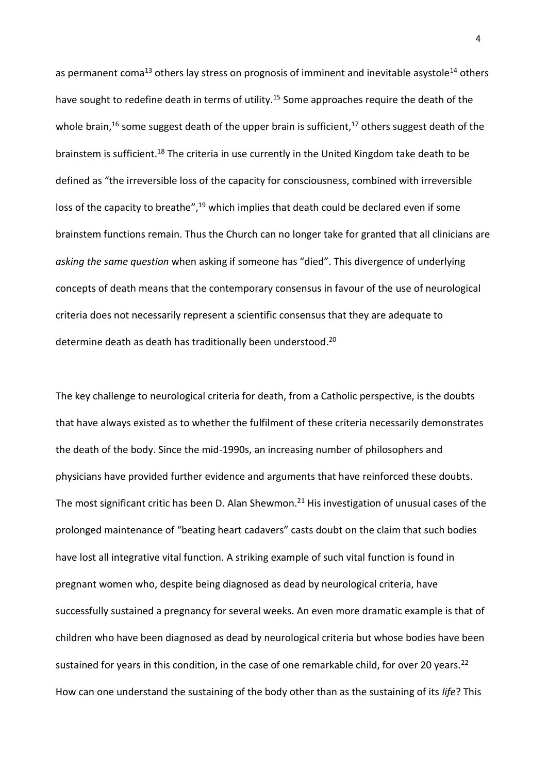as permanent coma<sup>13</sup> others lay stress on prognosis of imminent and inevitable asystole<sup>14</sup> others have sought to redefine death in terms of utility.<sup>15</sup> Some approaches require the death of the whole brain,<sup>16</sup> some suggest death of the upper brain is sufficient,<sup>17</sup> others suggest death of the brainstem is sufficient.<sup>18</sup> The criteria in use currently in the United Kingdom take death to be defined as "the irreversible loss of the capacity for consciousness, combined with irreversible loss of the capacity to breathe",<sup>19</sup> which implies that death could be declared even if some brainstem functions remain. Thus the Church can no longer take for granted that all clinicians are *asking the same question* when asking if someone has "died". This divergence of underlying concepts of death means that the contemporary consensus in favour of the use of neurological criteria does not necessarily represent a scientific consensus that they are adequate to determine death as death has traditionally been understood.<sup>20</sup>

The key challenge to neurological criteria for death, from a Catholic perspective, is the doubts that have always existed as to whether the fulfilment of these criteria necessarily demonstrates the death of the body. Since the mid-1990s, an increasing number of philosophers and physicians have provided further evidence and arguments that have reinforced these doubts. The most significant critic has been D. Alan Shewmon.<sup>21</sup> His investigation of unusual cases of the prolonged maintenance of "beating heart cadavers" casts doubt on the claim that such bodies have lost all integrative vital function. A striking example of such vital function is found in pregnant women who, despite being diagnosed as dead by neurological criteria, have successfully sustained a pregnancy for several weeks. An even more dramatic example is that of children who have been diagnosed as dead by neurological criteria but whose bodies have been sustained for years in this condition, in the case of one remarkable child, for over 20 years.<sup>22</sup> How can one understand the sustaining of the body other than as the sustaining of its *life*? This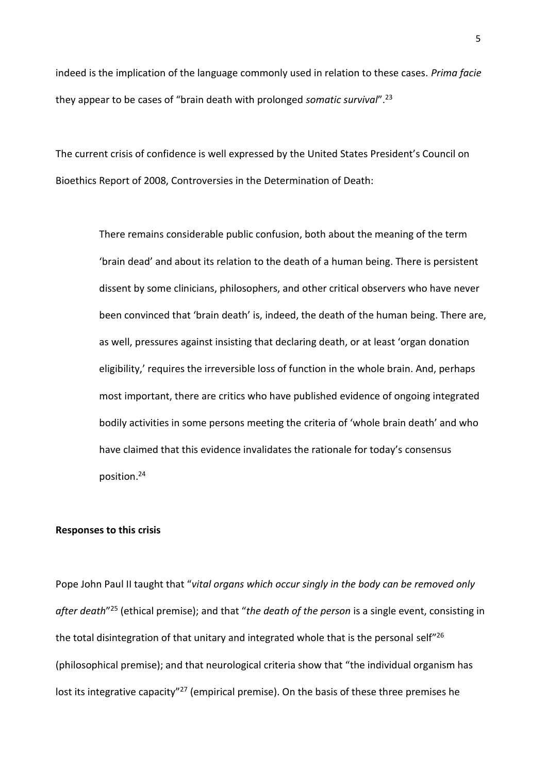indeed is the implication of the language commonly used in relation to these cases. *Prima facie* they appear to be cases of "brain death with prolonged *somatic survival*".<sup>23</sup>

The current crisis of confidence is well expressed by the United States President's Council on Bioethics Report of 2008, Controversies in the Determination of Death:

> There remains considerable public confusion, both about the meaning of the term 'brain dead' and about its relation to the death of a human being. There is persistent dissent by some clinicians, philosophers, and other critical observers who have never been convinced that 'brain death' is, indeed, the death of the human being. There are, as well, pressures against insisting that declaring death, or at least 'organ donation eligibility,' requires the irreversible loss of function in the whole brain. And, perhaps most important, there are critics who have published evidence of ongoing integrated bodily activities in some persons meeting the criteria of 'whole brain death' and who have claimed that this evidence invalidates the rationale for today's consensus position. 24

#### **Responses to this crisis**

Pope John Paul II taught that "*vital organs which occur singly in the body can be removed only after death*" <sup>25</sup> (ethical premise); and that "*the death of the person* is a single event, consisting in the total disintegration of that unitary and integrated whole that is the personal self<sup>"26</sup> (philosophical premise); and that neurological criteria show that "the individual organism has lost its integrative capacity"<sup>27</sup> (empirical premise). On the basis of these three premises he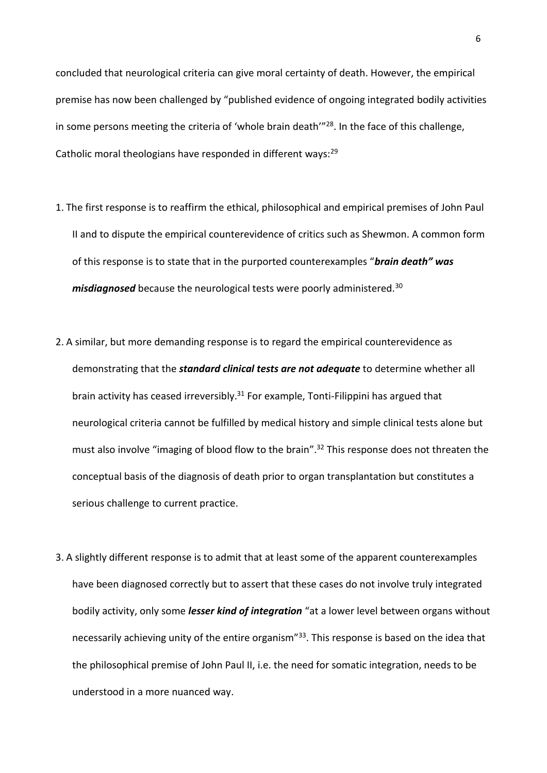concluded that neurological criteria can give moral certainty of death. However, the empirical premise has now been challenged by "published evidence of ongoing integrated bodily activities in some persons meeting the criteria of 'whole brain death'"<sup>28</sup>. In the face of this challenge, Catholic moral theologians have responded in different ways: $29$ 

- 1. The first response is to reaffirm the ethical, philosophical and empirical premises of John Paul II and to dispute the empirical counterevidence of critics such as Shewmon. A common form of this response is to state that in the purported counterexamples "*brain death" was misdiagnosed* because the neurological tests were poorly administered.<sup>30</sup>
- 2. A similar, but more demanding response is to regard the empirical counterevidence as demonstrating that the *standard clinical tests are not adequate* to determine whether all brain activity has ceased irreversibly.<sup>31</sup> For example, Tonti-Filippini has argued that neurological criteria cannot be fulfilled by medical history and simple clinical tests alone but must also involve "imaging of blood flow to the brain". <sup>32</sup> This response does not threaten the conceptual basis of the diagnosis of death prior to organ transplantation but constitutes a serious challenge to current practice.
- 3. A slightly different response is to admit that at least some of the apparent counterexamples have been diagnosed correctly but to assert that these cases do not involve truly integrated bodily activity, only some *lesser kind of integration* "at a lower level between organs without necessarily achieving unity of the entire organism"<sup>33</sup>. This response is based on the idea that the philosophical premise of John Paul II, i.e. the need for somatic integration, needs to be understood in a more nuanced way.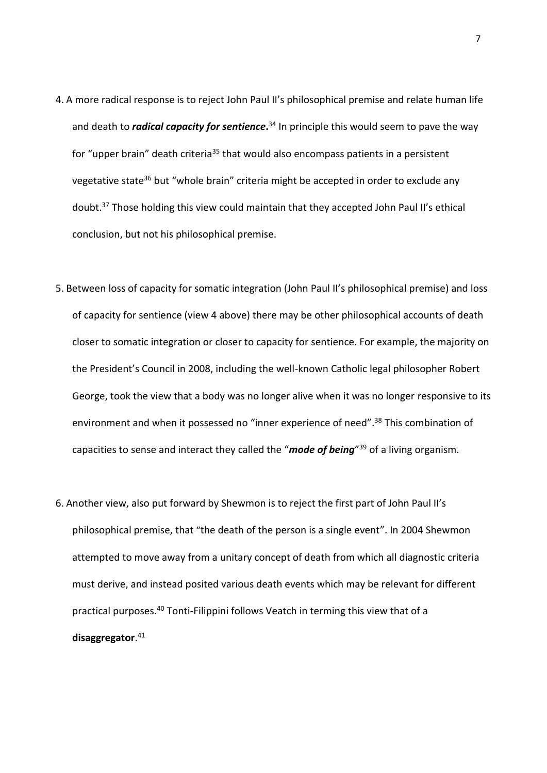- 4. A more radical response is to reject John Paul II's philosophical premise and relate human life and death to *radical capacity for sentience***.** <sup>34</sup> In principle this would seem to pave the way for "upper brain" death criteria<sup>35</sup> that would also encompass patients in a persistent vegetative state<sup>36</sup> but "whole brain" criteria might be accepted in order to exclude any doubt.<sup>37</sup> Those holding this view could maintain that they accepted John Paul II's ethical conclusion, but not his philosophical premise.
- 5. Between loss of capacity for somatic integration (John Paul II's philosophical premise) and loss of capacity for sentience (view 4 above) there may be other philosophical accounts of death closer to somatic integration or closer to capacity for sentience. For example, the majority on the President's Council in 2008, including the well-known Catholic legal philosopher Robert George, took the view that a body was no longer alive when it was no longer responsive to its environment and when it possessed no "inner experience of need".<sup>38</sup> This combination of capacities to sense and interact they called the "*mode of being*" <sup>39</sup> of a living organism.
- 6. Another view, also put forward by Shewmon is to reject the first part of John Paul II's philosophical premise, that "the death of the person is a single event". In 2004 Shewmon attempted to move away from a unitary concept of death from which all diagnostic criteria must derive, and instead posited various death events which may be relevant for different practical purposes.<sup>40</sup> Tonti-Filippini follows Veatch in terming this view that of a **disaggregator**. 41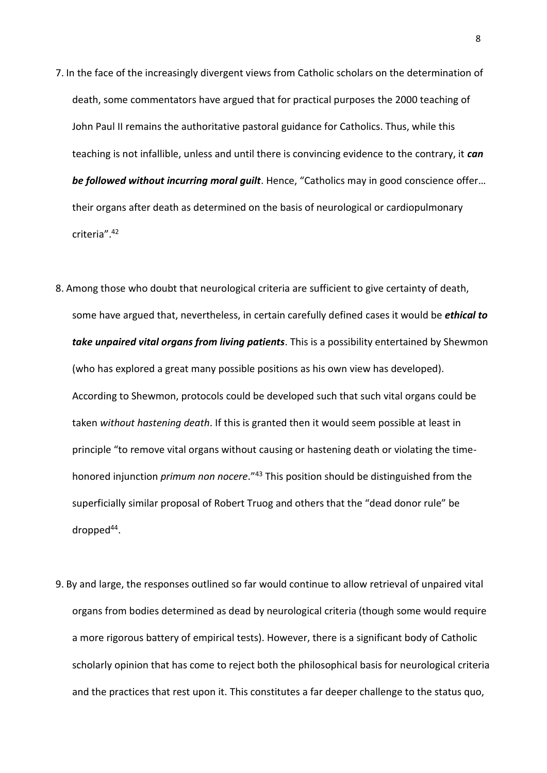- 7. In the face of the increasingly divergent views from Catholic scholars on the determination of death, some commentators have argued that for practical purposes the 2000 teaching of John Paul II remains the authoritative pastoral guidance for Catholics. Thus, while this teaching is not infallible, unless and until there is convincing evidence to the contrary, it *can be followed without incurring moral guilt*. Hence, "Catholics may in good conscience offer… their organs after death as determined on the basis of neurological or cardiopulmonary criteria". 42
- 8. Among those who doubt that neurological criteria are sufficient to give certainty of death, some have argued that, nevertheless, in certain carefully defined cases it would be *ethical to take unpaired vital organs from living patients*. This is a possibility entertained by Shewmon (who has explored a great many possible positions as his own view has developed). According to Shewmon, protocols could be developed such that such vital organs could be taken *without hastening death*. If this is granted then it would seem possible at least in principle "to remove vital organs without causing or hastening death or violating the timehonored injunction *primum non nocere*."<sup>43</sup> This position should be distinguished from the superficially similar proposal of Robert Truog and others that the "dead donor rule" be dropped<sup>44</sup>.
- 9. By and large, the responses outlined so far would continue to allow retrieval of unpaired vital organs from bodies determined as dead by neurological criteria (though some would require a more rigorous battery of empirical tests). However, there is a significant body of Catholic scholarly opinion that has come to reject both the philosophical basis for neurological criteria and the practices that rest upon it. This constitutes a far deeper challenge to the status quo,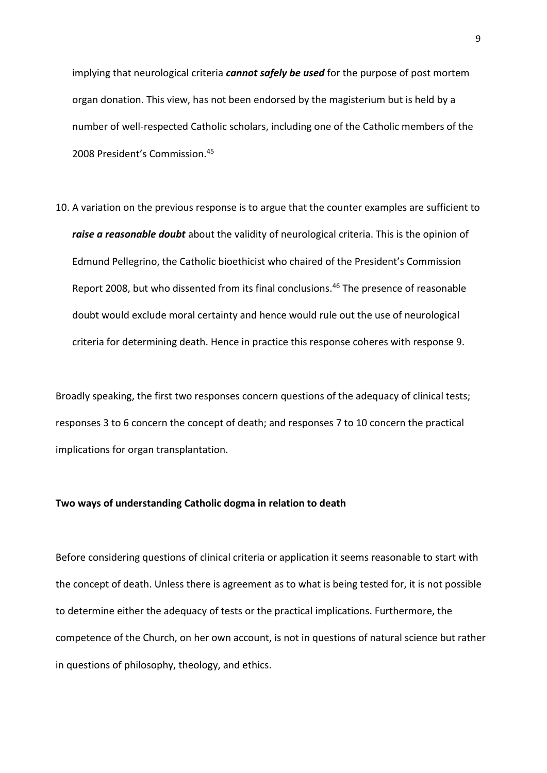implying that neurological criteria *cannot safely be used* for the purpose of post mortem organ donation. This view, has not been endorsed by the magisterium but is held by a number of well-respected Catholic scholars, including one of the Catholic members of the 2008 President's Commission.<sup>45</sup>

10. A variation on the previous response is to argue that the counter examples are sufficient to *raise a reasonable doubt* about the validity of neurological criteria. This is the opinion of Edmund Pellegrino, the Catholic bioethicist who chaired of the President's Commission Report 2008, but who dissented from its final conclusions.<sup>46</sup> The presence of reasonable doubt would exclude moral certainty and hence would rule out the use of neurological criteria for determining death. Hence in practice this response coheres with response 9.

Broadly speaking, the first two responses concern questions of the adequacy of clinical tests; responses 3 to 6 concern the concept of death; and responses 7 to 10 concern the practical implications for organ transplantation.

### **Two ways of understanding Catholic dogma in relation to death**

Before considering questions of clinical criteria or application it seems reasonable to start with the concept of death. Unless there is agreement as to what is being tested for, it is not possible to determine either the adequacy of tests or the practical implications. Furthermore, the competence of the Church, on her own account, is not in questions of natural science but rather in questions of philosophy, theology, and ethics.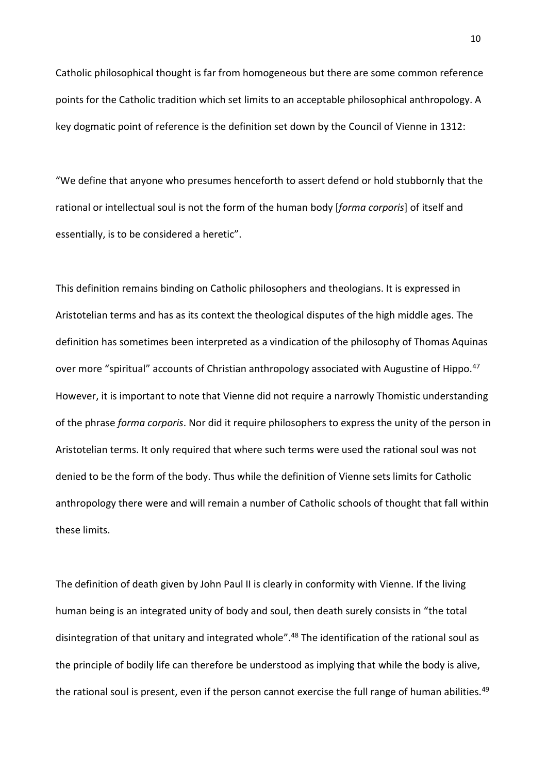Catholic philosophical thought is far from homogeneous but there are some common reference points for the Catholic tradition which set limits to an acceptable philosophical anthropology. A key dogmatic point of reference is the definition set down by the Council of Vienne in 1312:

"We define that anyone who presumes henceforth to assert defend or hold stubbornly that the rational or intellectual soul is not the form of the human body [*forma corporis*] of itself and essentially, is to be considered a heretic".

This definition remains binding on Catholic philosophers and theologians. It is expressed in Aristotelian terms and has as its context the theological disputes of the high middle ages. The definition has sometimes been interpreted as a vindication of the philosophy of Thomas Aquinas over more "spiritual" accounts of Christian anthropology associated with Augustine of Hippo.<sup>47</sup> However, it is important to note that Vienne did not require a narrowly Thomistic understanding of the phrase *forma corporis*. Nor did it require philosophers to express the unity of the person in Aristotelian terms. It only required that where such terms were used the rational soul was not denied to be the form of the body. Thus while the definition of Vienne sets limits for Catholic anthropology there were and will remain a number of Catholic schools of thought that fall within these limits.

The definition of death given by John Paul II is clearly in conformity with Vienne. If the living human being is an integrated unity of body and soul, then death surely consists in "the total disintegration of that unitary and integrated whole".<sup>48</sup> The identification of the rational soul as the principle of bodily life can therefore be understood as implying that while the body is alive, the rational soul is present, even if the person cannot exercise the full range of human abilities.<sup>49</sup>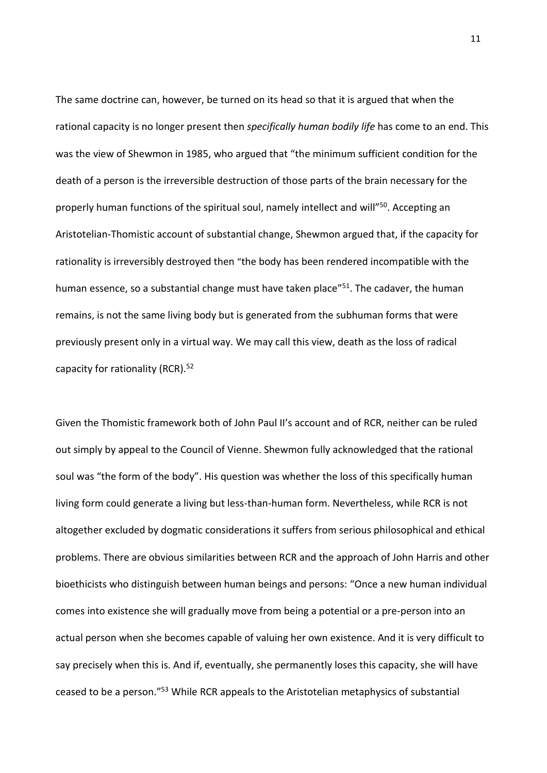The same doctrine can, however, be turned on its head so that it is argued that when the rational capacity is no longer present then *specifically human bodily life* has come to an end. This was the view of Shewmon in 1985, who argued that "the minimum sufficient condition for the death of a person is the irreversible destruction of those parts of the brain necessary for the properly human functions of the spiritual soul, namely intellect and will"<sup>50</sup>. Accepting an Aristotelian-Thomistic account of substantial change, Shewmon argued that, if the capacity for rationality is irreversibly destroyed then "the body has been rendered incompatible with the human essence, so a substantial change must have taken place"<sup>51</sup>. The cadaver, the human remains, is not the same living body but is generated from the subhuman forms that were previously present only in a virtual way. We may call this view, death as the loss of radical capacity for rationality (RCR).<sup>52</sup>

Given the Thomistic framework both of John Paul II's account and of RCR, neither can be ruled out simply by appeal to the Council of Vienne. Shewmon fully acknowledged that the rational soul was "the form of the body". His question was whether the loss of this specifically human living form could generate a living but less-than-human form. Nevertheless, while RCR is not altogether excluded by dogmatic considerations it suffers from serious philosophical and ethical problems. There are obvious similarities between RCR and the approach of John Harris and other bioethicists who distinguish between human beings and persons: "Once a new human individual comes into existence she will gradually move from being a potential or a pre-person into an actual person when she becomes capable of valuing her own existence. And it is very difficult to say precisely when this is. And if, eventually, she permanently loses this capacity, she will have ceased to be a person."<sup>53</sup> While RCR appeals to the Aristotelian metaphysics of substantial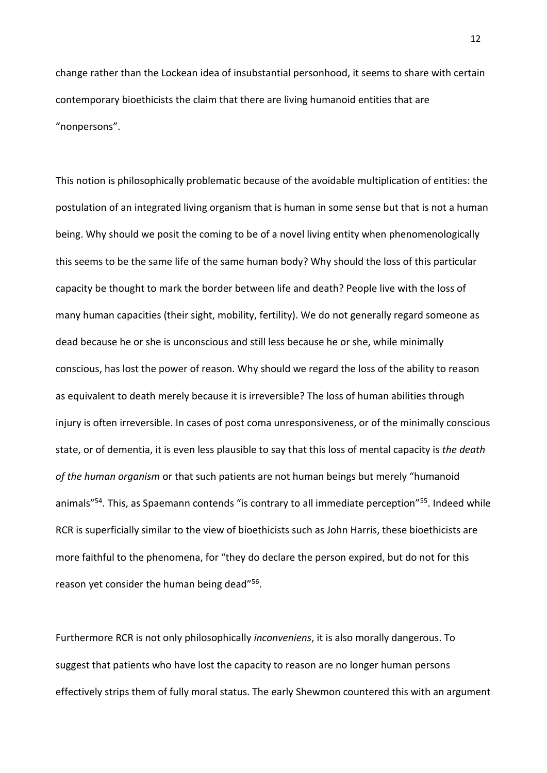change rather than the Lockean idea of insubstantial personhood, it seems to share with certain contemporary bioethicists the claim that there are living humanoid entities that are "nonpersons".

This notion is philosophically problematic because of the avoidable multiplication of entities: the postulation of an integrated living organism that is human in some sense but that is not a human being. Why should we posit the coming to be of a novel living entity when phenomenologically this seems to be the same life of the same human body? Why should the loss of this particular capacity be thought to mark the border between life and death? People live with the loss of many human capacities (their sight, mobility, fertility). We do not generally regard someone as dead because he or she is unconscious and still less because he or she, while minimally conscious, has lost the power of reason. Why should we regard the loss of the ability to reason as equivalent to death merely because it is irreversible? The loss of human abilities through injury is often irreversible. In cases of post coma unresponsiveness, or of the minimally conscious state, or of dementia, it is even less plausible to say that this loss of mental capacity is *the death of the human organism* or that such patients are not human beings but merely "humanoid animals"<sup>54</sup>. This, as Spaemann contends "is contrary to all immediate perception"<sup>55</sup>. Indeed while RCR is superficially similar to the view of bioethicists such as John Harris, these bioethicists are more faithful to the phenomena, for "they do declare the person expired, but do not for this reason yet consider the human being dead"<sup>56</sup>.

Furthermore RCR is not only philosophically *inconveniens*, it is also morally dangerous. To suggest that patients who have lost the capacity to reason are no longer human persons effectively strips them of fully moral status. The early Shewmon countered this with an argument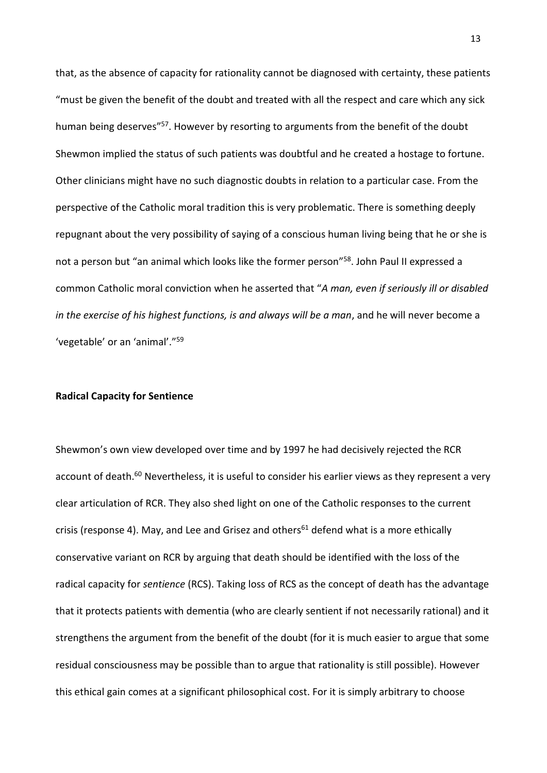that, as the absence of capacity for rationality cannot be diagnosed with certainty, these patients "must be given the benefit of the doubt and treated with all the respect and care which any sick human being deserves"<sup>57</sup>. However by resorting to arguments from the benefit of the doubt Shewmon implied the status of such patients was doubtful and he created a hostage to fortune. Other clinicians might have no such diagnostic doubts in relation to a particular case. From the perspective of the Catholic moral tradition this is very problematic. There is something deeply repugnant about the very possibility of saying of a conscious human living being that he or she is not a person but "an animal which looks like the former person"<sup>58</sup>. John Paul II expressed a common Catholic moral conviction when he asserted that "*A man, even if seriously ill or disabled in the exercise of his highest functions, is and always will be a man*, and he will never become a 'vegetable' or an 'animal'."<sup>59</sup>

## **Radical Capacity for Sentience**

Shewmon's own view developed over time and by 1997 he had decisively rejected the RCR account of death.<sup>60</sup> Nevertheless, it is useful to consider his earlier views as they represent a very clear articulation of RCR. They also shed light on one of the Catholic responses to the current crisis (response 4). May, and Lee and Grisez and others<sup>61</sup> defend what is a more ethically conservative variant on RCR by arguing that death should be identified with the loss of the radical capacity for *sentience* (RCS). Taking loss of RCS as the concept of death has the advantage that it protects patients with dementia (who are clearly sentient if not necessarily rational) and it strengthens the argument from the benefit of the doubt (for it is much easier to argue that some residual consciousness may be possible than to argue that rationality is still possible). However this ethical gain comes at a significant philosophical cost. For it is simply arbitrary to choose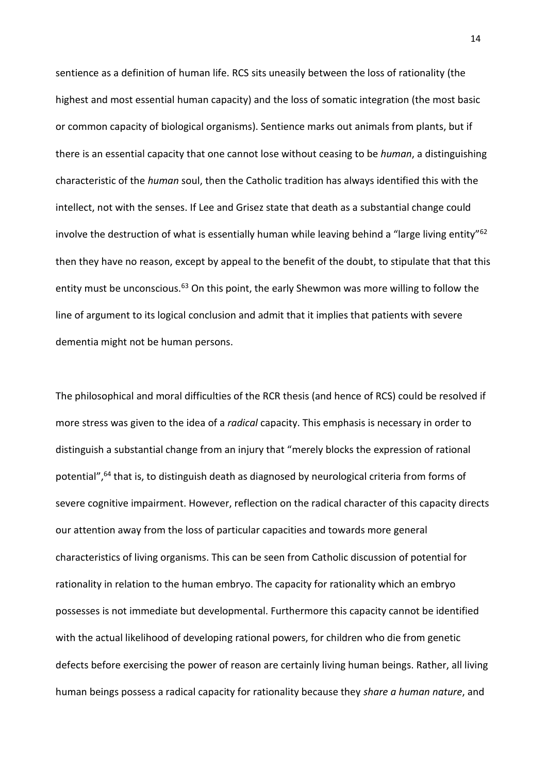sentience as a definition of human life. RCS sits uneasily between the loss of rationality (the highest and most essential human capacity) and the loss of somatic integration (the most basic or common capacity of biological organisms). Sentience marks out animals from plants, but if there is an essential capacity that one cannot lose without ceasing to be *human*, a distinguishing characteristic of the *human* soul, then the Catholic tradition has always identified this with the intellect, not with the senses. If Lee and Grisez state that death as a substantial change could involve the destruction of what is essentially human while leaving behind a "large living entity"<sup>62</sup> then they have no reason, except by appeal to the benefit of the doubt, to stipulate that that this entity must be unconscious.<sup>63</sup> On this point, the early Shewmon was more willing to follow the line of argument to its logical conclusion and admit that it implies that patients with severe dementia might not be human persons.

The philosophical and moral difficulties of the RCR thesis (and hence of RCS) could be resolved if more stress was given to the idea of a *radical* capacity. This emphasis is necessary in order to distinguish a substantial change from an injury that "merely blocks the expression of rational potential",<sup>64</sup> that is, to distinguish death as diagnosed by neurological criteria from forms of severe cognitive impairment. However, reflection on the radical character of this capacity directs our attention away from the loss of particular capacities and towards more general characteristics of living organisms. This can be seen from Catholic discussion of potential for rationality in relation to the human embryo. The capacity for rationality which an embryo possesses is not immediate but developmental. Furthermore this capacity cannot be identified with the actual likelihood of developing rational powers, for children who die from genetic defects before exercising the power of reason are certainly living human beings. Rather, all living human beings possess a radical capacity for rationality because they *share a human nature*, and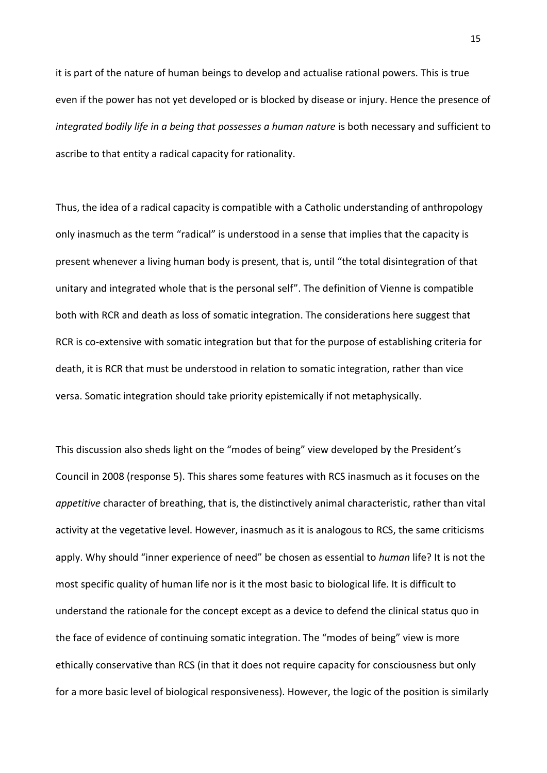it is part of the nature of human beings to develop and actualise rational powers. This is true even if the power has not yet developed or is blocked by disease or injury. Hence the presence of *integrated bodily life in a being that possesses a human nature* is both necessary and sufficient to ascribe to that entity a radical capacity for rationality.

Thus, the idea of a radical capacity is compatible with a Catholic understanding of anthropology only inasmuch as the term "radical" is understood in a sense that implies that the capacity is present whenever a living human body is present, that is, until "the total disintegration of that unitary and integrated whole that is the personal self". The definition of Vienne is compatible both with RCR and death as loss of somatic integration. The considerations here suggest that RCR is co-extensive with somatic integration but that for the purpose of establishing criteria for death, it is RCR that must be understood in relation to somatic integration, rather than vice versa. Somatic integration should take priority epistemically if not metaphysically.

This discussion also sheds light on the "modes of being" view developed by the President's Council in 2008 (response 5). This shares some features with RCS inasmuch as it focuses on the *appetitive* character of breathing, that is, the distinctively animal characteristic, rather than vital activity at the vegetative level. However, inasmuch as it is analogous to RCS, the same criticisms apply. Why should "inner experience of need" be chosen as essential to *human* life? It is not the most specific quality of human life nor is it the most basic to biological life. It is difficult to understand the rationale for the concept except as a device to defend the clinical status quo in the face of evidence of continuing somatic integration. The "modes of being" view is more ethically conservative than RCS (in that it does not require capacity for consciousness but only for a more basic level of biological responsiveness). However, the logic of the position is similarly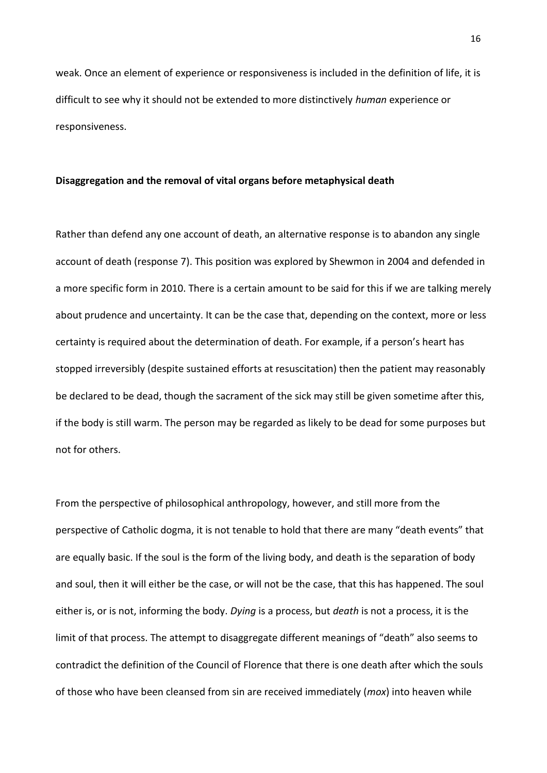weak. Once an element of experience or responsiveness is included in the definition of life, it is difficult to see why it should not be extended to more distinctively *human* experience or responsiveness.

#### **Disaggregation and the removal of vital organs before metaphysical death**

Rather than defend any one account of death, an alternative response is to abandon any single account of death (response 7). This position was explored by Shewmon in 2004 and defended in a more specific form in 2010. There is a certain amount to be said for this if we are talking merely about prudence and uncertainty. It can be the case that, depending on the context, more or less certainty is required about the determination of death. For example, if a person's heart has stopped irreversibly (despite sustained efforts at resuscitation) then the patient may reasonably be declared to be dead, though the sacrament of the sick may still be given sometime after this, if the body is still warm. The person may be regarded as likely to be dead for some purposes but not for others.

From the perspective of philosophical anthropology, however, and still more from the perspective of Catholic dogma, it is not tenable to hold that there are many "death events" that are equally basic. If the soul is the form of the living body, and death is the separation of body and soul, then it will either be the case, or will not be the case, that this has happened. The soul either is, or is not, informing the body. *Dying* is a process, but *death* is not a process, it is the limit of that process. The attempt to disaggregate different meanings of "death" also seems to contradict the definition of the Council of Florence that there is one death after which the souls of those who have been cleansed from sin are received immediately (*mox*) into heaven while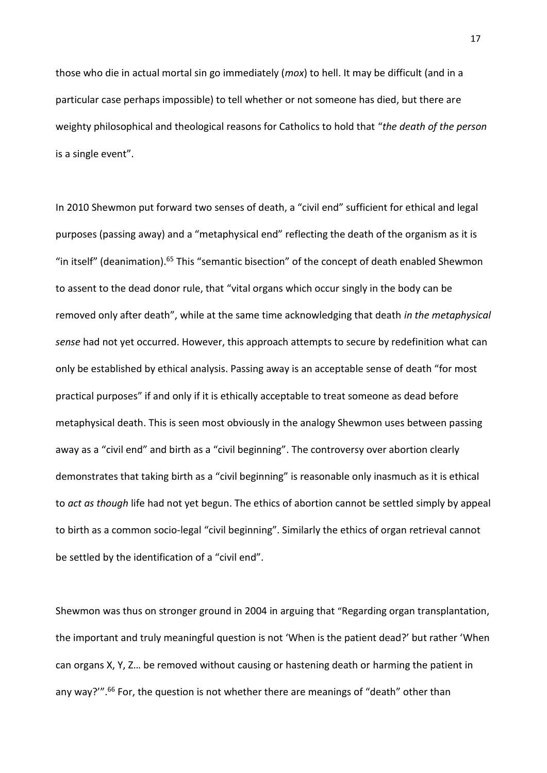those who die in actual mortal sin go immediately (*mox*) to hell. It may be difficult (and in a particular case perhaps impossible) to tell whether or not someone has died, but there are weighty philosophical and theological reasons for Catholics to hold that "*the death of the person* is a single event".

In 2010 Shewmon put forward two senses of death, a "civil end" sufficient for ethical and legal purposes (passing away) and a "metaphysical end" reflecting the death of the organism as it is "in itself" (deanimation).<sup>65</sup> This "semantic bisection" of the concept of death enabled Shewmon to assent to the dead donor rule, that "vital organs which occur singly in the body can be removed only after death", while at the same time acknowledging that death *in the metaphysical sense* had not yet occurred. However, this approach attempts to secure by redefinition what can only be established by ethical analysis. Passing away is an acceptable sense of death "for most practical purposes" if and only if it is ethically acceptable to treat someone as dead before metaphysical death. This is seen most obviously in the analogy Shewmon uses between passing away as a "civil end" and birth as a "civil beginning". The controversy over abortion clearly demonstrates that taking birth as a "civil beginning" is reasonable only inasmuch as it is ethical to *act as though* life had not yet begun. The ethics of abortion cannot be settled simply by appeal to birth as a common socio-legal "civil beginning". Similarly the ethics of organ retrieval cannot be settled by the identification of a "civil end".

Shewmon was thus on stronger ground in 2004 in arguing that "Regarding organ transplantation, the important and truly meaningful question is not 'When is the patient dead?' but rather 'When can organs X, Y, Z… be removed without causing or hastening death or harming the patient in any way?"<sup>"</sup>.<sup>66</sup> For, the question is not whether there are meanings of "death" other than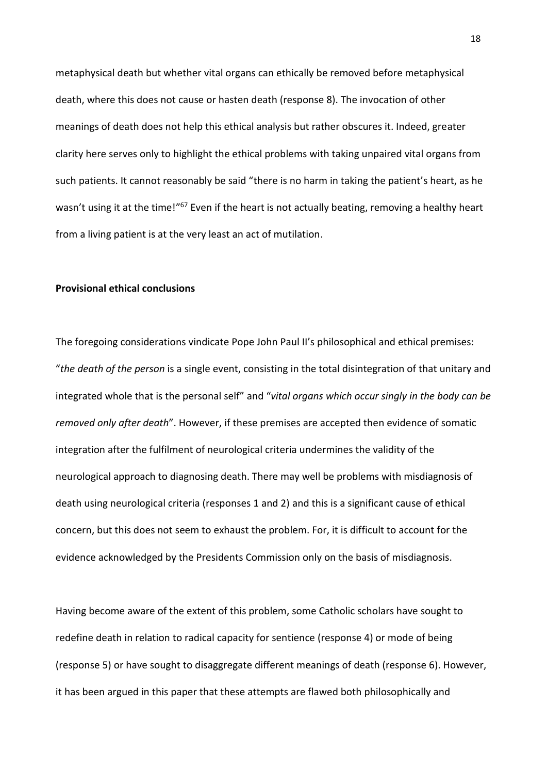metaphysical death but whether vital organs can ethically be removed before metaphysical death, where this does not cause or hasten death (response 8). The invocation of other meanings of death does not help this ethical analysis but rather obscures it. Indeed, greater clarity here serves only to highlight the ethical problems with taking unpaired vital organs from such patients. It cannot reasonably be said "there is no harm in taking the patient's heart, as he wasn't using it at the time!"<sup>67</sup> Even if the heart is not actually beating, removing a healthy heart from a living patient is at the very least an act of mutilation.

#### **Provisional ethical conclusions**

The foregoing considerations vindicate Pope John Paul II's philosophical and ethical premises: "*the death of the person* is a single event, consisting in the total disintegration of that unitary and integrated whole that is the personal self" and "*vital organs which occur singly in the body can be removed only after death*". However, if these premises are accepted then evidence of somatic integration after the fulfilment of neurological criteria undermines the validity of the neurological approach to diagnosing death. There may well be problems with misdiagnosis of death using neurological criteria (responses 1 and 2) and this is a significant cause of ethical concern, but this does not seem to exhaust the problem. For, it is difficult to account for the evidence acknowledged by the Presidents Commission only on the basis of misdiagnosis.

Having become aware of the extent of this problem, some Catholic scholars have sought to redefine death in relation to radical capacity for sentience (response 4) or mode of being (response 5) or have sought to disaggregate different meanings of death (response 6). However, it has been argued in this paper that these attempts are flawed both philosophically and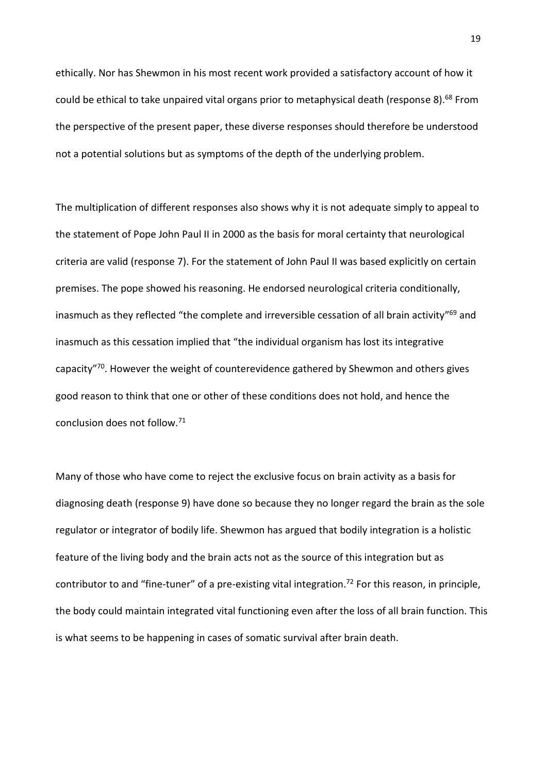ethically. Nor has Shewmon in his most recent work provided a satisfactory account of how it could be ethical to take unpaired vital organs prior to metaphysical death (response 8).<sup>68</sup> From the perspective of the present paper, these diverse responses should therefore be understood not a potential solutions but as symptoms of the depth of the underlying problem.

The multiplication of different responses also shows why it is not adequate simply to appeal to the statement of Pope John Paul II in 2000 as the basis for moral certainty that neurological criteria are valid (response 7). For the statement of John Paul II was based explicitly on certain premises. The pope showed his reasoning. He endorsed neurological criteria conditionally, inasmuch as they reflected "the complete and irreversible cessation of all brain activity"<sup>69</sup> and inasmuch as this cessation implied that "the individual organism has lost its integrative capacity"<sup>70</sup>. However the weight of counterevidence gathered by Shewmon and others gives good reason to think that one or other of these conditions does not hold, and hence the conclusion does not follow.<sup>71</sup>

Many of those who have come to reject the exclusive focus on brain activity as a basis for diagnosing death (response 9) have done so because they no longer regard the brain as the sole regulator or integrator of bodily life. Shewmon has argued that bodily integration is a holistic feature of the living body and the brain acts not as the source of this integration but as contributor to and "fine-tuner" of a pre-existing vital integration.<sup>72</sup> For this reason, in principle, the body could maintain integrated vital functioning even after the loss of all brain function. This is what seems to be happening in cases of somatic survival after brain death.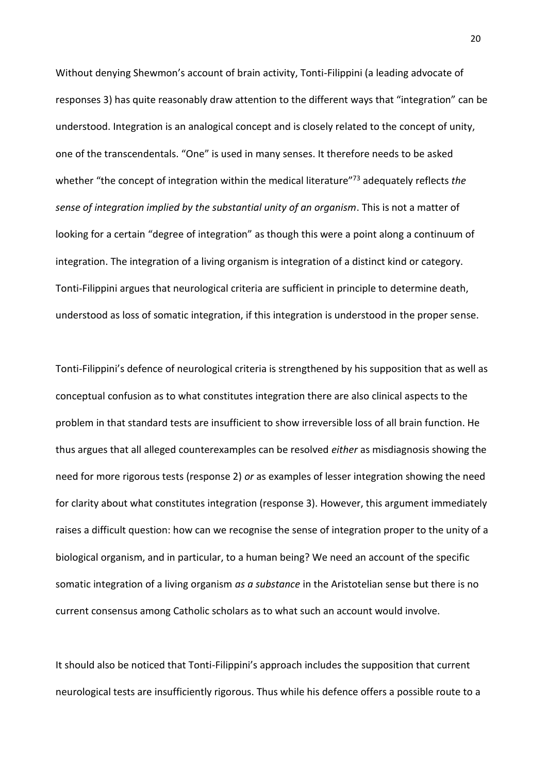Without denying Shewmon's account of brain activity, Tonti-Filippini (a leading advocate of responses 3) has quite reasonably draw attention to the different ways that "integration" can be understood. Integration is an analogical concept and is closely related to the concept of unity, one of the transcendentals. "One" is used in many senses. It therefore needs to be asked whether "the concept of integration within the medical literature" <sup>73</sup> adequately reflects *the sense of integration implied by the substantial unity of an organism*. This is not a matter of looking for a certain "degree of integration" as though this were a point along a continuum of integration. The integration of a living organism is integration of a distinct kind or category. Tonti-Filippini argues that neurological criteria are sufficient in principle to determine death, understood as loss of somatic integration, if this integration is understood in the proper sense.

Tonti-Filippini's defence of neurological criteria is strengthened by his supposition that as well as conceptual confusion as to what constitutes integration there are also clinical aspects to the problem in that standard tests are insufficient to show irreversible loss of all brain function. He thus argues that all alleged counterexamples can be resolved *either* as misdiagnosis showing the need for more rigorous tests (response 2) *or* as examples of lesser integration showing the need for clarity about what constitutes integration (response 3). However, this argument immediately raises a difficult question: how can we recognise the sense of integration proper to the unity of a biological organism, and in particular, to a human being? We need an account of the specific somatic integration of a living organism *as a substance* in the Aristotelian sense but there is no current consensus among Catholic scholars as to what such an account would involve.

It should also be noticed that Tonti-Filippini's approach includes the supposition that current neurological tests are insufficiently rigorous. Thus while his defence offers a possible route to a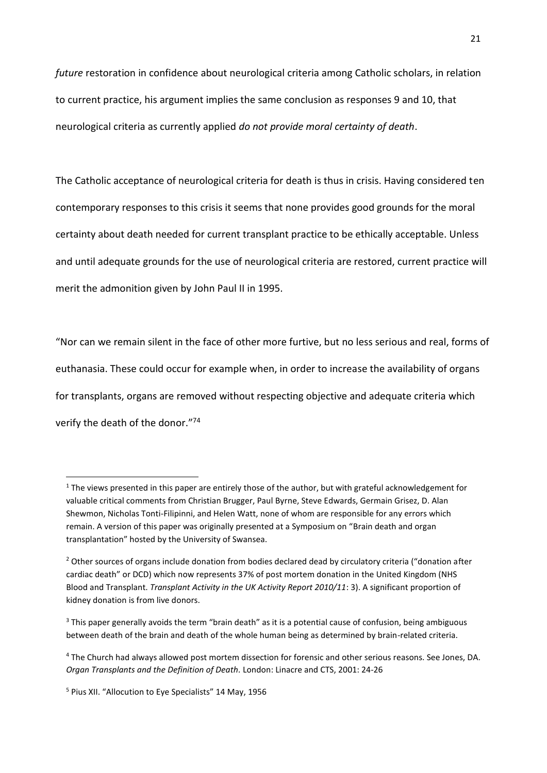*future* restoration in confidence about neurological criteria among Catholic scholars, in relation to current practice, his argument implies the same conclusion as responses 9 and 10, that neurological criteria as currently applied *do not provide moral certainty of death*.

The Catholic acceptance of neurological criteria for death is thus in crisis. Having considered ten contemporary responses to this crisis it seems that none provides good grounds for the moral certainty about death needed for current transplant practice to be ethically acceptable. Unless and until adequate grounds for the use of neurological criteria are restored, current practice will merit the admonition given by John Paul II in 1995.

"Nor can we remain silent in the face of other more furtive, but no less serious and real, forms of euthanasia. These could occur for example when, in order to increase the availability of organs for transplants, organs are removed without respecting objective and adequate criteria which verify the death of the donor."<sup>74</sup>

**.** 

 $1$  The views presented in this paper are entirely those of the author, but with grateful acknowledgement for valuable critical comments from Christian Brugger, Paul Byrne, Steve Edwards, Germain Grisez, D. Alan Shewmon, Nicholas Tonti-Filipinni, and Helen Watt, none of whom are responsible for any errors which remain. A version of this paper was originally presented at a Symposium on "Brain death and organ transplantation" hosted by the University of Swansea.

<sup>&</sup>lt;sup>2</sup> Other sources of organs include donation from bodies declared dead by circulatory criteria ("donation after cardiac death" or DCD) which now represents 37% of post mortem donation in the United Kingdom (NHS Blood and Transplant. *Transplant Activity in the UK Activity Report 2010/11*: 3). A significant proportion of kidney donation is from live donors.

<sup>&</sup>lt;sup>3</sup> This paper generally avoids the term "brain death" as it is a potential cause of confusion, being ambiguous between death of the brain and death of the whole human being as determined by brain-related criteria.

<sup>4</sup> The Church had always allowed post mortem dissection for forensic and other serious reasons. See Jones, DA. *Organ Transplants and the Definition of Death.* London: Linacre and CTS, 2001: 24-26

<sup>5</sup> Pius XII. "Allocution to Eye Specialists" 14 May, 1956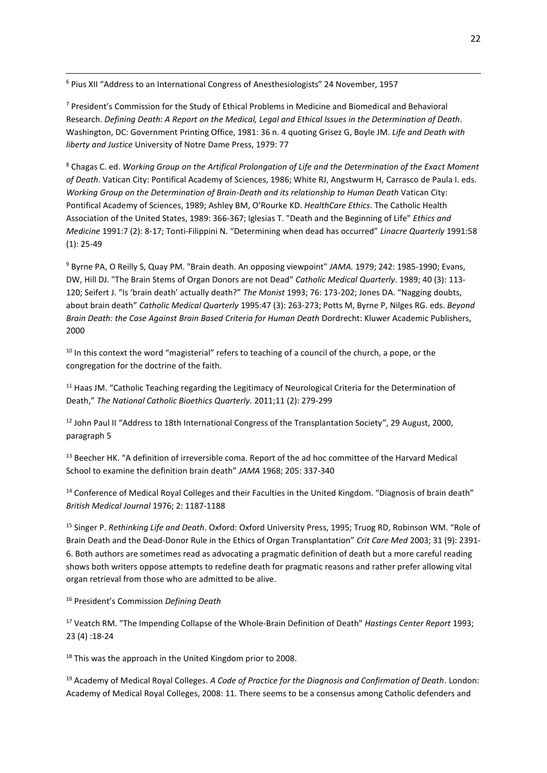<sup>6</sup> Pius XII "Address to an International Congress of Anesthesiologists" 24 November, 1957

**.** 

 $7$  President's Commission for the Study of Ethical Problems in Medicine and Biomedical and Behavioral Research. *Defining Death: A Report on the Medical, Legal and Ethical Issues in the Determination of Death.* Washington, DC: Government Printing Office, 1981: 36 n. 4 quoting Grisez G, Boyle JM. *Life and Death with liberty and Justice* University of Notre Dame Press, 1979: 77

<sup>8</sup> Chagas C. ed. *Working Group on the Artifical Prolongation of Life and the Determination of the Exact Moment of Death*. Vatican City: Pontifical Academy of Sciences, 1986; White RJ, Angstwurm H, Carrasco de Paula I. eds. *Working Group on the Determination of Brain-Death and its relationship to Human Death* Vatican City: Pontifical Academy of Sciences, 1989; Ashley BM, O'Rourke KD. *HealthCare Ethics*. The Catholic Health Association of the United States, 1989: 366-367; Iglesias T. "Death and the Beginning of Life" *Ethics and Medicine* 1991:7 (2): 8-17; Tonti-Filippini N. "Determining when dead has occurred" *Linacre Quarterly* 1991:58 (1): 25-49

<sup>9</sup> Byrne PA, O Reilly S, Quay PM. "Brain death. An opposing viewpoint" *JAMA.* 1979; 242: 1985-1990; Evans, DW, Hill DJ. "The Brain Stems of Organ Donors are not Dead" *Catholic Medical Quarterly*. 1989; 40 (3): 113- 120; Seifert J. "Is 'brain death' actually death?" *The Monist* 1993; 76: 173-202; Jones DA. "Nagging doubts, about brain death" *Catholic Medical Quarterly* 1995:47 (3): 263-273; Potts M, Byrne P, Nilges RG. eds. *Beyond Brain Death: the Case Against Brain Based Criteria for Human Death* Dordrecht: Kluwer Academic Publishers, 2000

 $10$  In this context the word "magisterial" refers to teaching of a council of the church, a pope, or the congregation for the doctrine of the faith.

<sup>11</sup> Haas JM. "Catholic Teaching regarding the Legitimacy of Neurological Criteria for the Determination of Death," *The National Catholic Bioethics Quarterly.* 2011;11 (2): 279-299

<sup>12</sup> John Paul II "Address to 18th International Congress of the Transplantation Society", 29 August, 2000, paragraph 5

<sup>13</sup> Beecher HK. "A definition of irreversible coma. Report of the ad hoc committee of the Harvard Medical School to examine the definition brain death" *JAMA* 1968; 205: 337-340

<sup>14</sup> Conference of Medical Royal Colleges and their Faculties in the United Kingdom. "Diagnosis of brain death" *British Medical Journal* 1976; 2: 1187-1188

<sup>15</sup> Singer P. *Rethinking Life and Death*. Oxford: Oxford University Press, 1995; Truog RD, Robinson WM. "Role of Brain Death and the Dead-Donor Rule in the Ethics of Organ Transplantation" *Crit Care Med* 2003; 31 (9): 2391- 6. Both authors are sometimes read as advocating a pragmatic definition of death but a more careful reading shows both writers oppose attempts to redefine death for pragmatic reasons and rather prefer allowing vital organ retrieval from those who are admitted to be alive.

<sup>16</sup> President's Commission *Defining Death*

<sup>17</sup> Veatch RM. "The Impending Collapse of the Whole-Brain Definition of Death" *Hastings Center Report* 1993; 23 (4) :18-24

<sup>18</sup> This was the approach in the United Kingdom prior to 2008.

<sup>19</sup> Academy of Medical Royal Colleges. *A Code of Practice for the Diagnosis and Confirmation of Death*. London: Academy of Medical Royal Colleges, 2008: 11. There seems to be a consensus among Catholic defenders and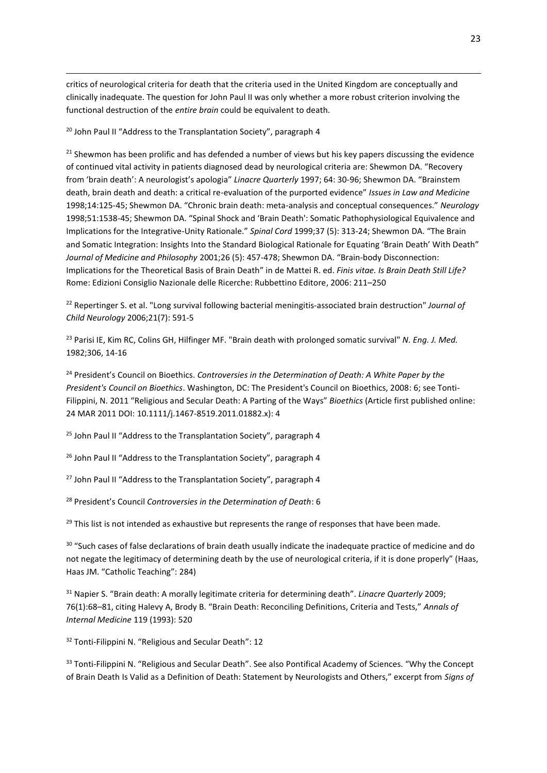critics of neurological criteria for death that the criteria used in the United Kingdom are conceptually and clinically inadequate. The question for John Paul II was only whether a more robust criterion involving the functional destruction of the *entire brain* could be equivalent to death.

 $20$  John Paul II "Address to the Transplantation Society", paragraph 4

**.** 

<sup>21</sup> Shewmon has been prolific and has defended a number of views but his key papers discussing the evidence of continued vital activity in patients diagnosed dead by neurological criteria are: Shewmon DA. "Recovery from 'brain death': A neurologist's apologia" *Linacre Quarterly* 1997; 64: 30-96; Shewmon DA. "Brainstem death, brain death and death: a critical re-evaluation of the purported evidence" *Issues in Law and Medicine* 1998;14:125-45; Shewmon DA. "Chronic brain death: meta-analysis and conceptual consequences." *Neurology* 1998;51:1538-45; Shewmon DA. "Spinal Shock and 'Brain Death': Somatic Pathophysiological Equivalence and Implications for the Integrative-Unity Rationale." *Spinal Cord* 1999;37 (5): 313-24; Shewmon DA. "The Brain and Somatic Integration: Insights Into the Standard Biological Rationale for Equating 'Brain Death' With Death" *Journal of Medicine and Philosophy* 2001;26 (5): 457-478; Shewmon DA. "Brain-body Disconnection: Implications for the Theoretical Basis of Brain Death" in de Mattei R. ed. *Finis vitae. Is Brain Death Still Life?*  Rome: Edizioni Consiglio Nazionale delle Ricerche: Rubbettino Editore, 2006: 211–250

<sup>22</sup> Repertinger S. et al. "Long survival following bacterial meningitis-associated brain destruction" *Journal of Child Neurology* 2006;21(7): 591-5

<sup>23</sup> Parisi IE, Kim RC, Colins GH, Hilfinger MF. "Brain death with prolonged somatic survival" *N. Eng. J. Med.* 1982;306, 14-16

<sup>24</sup> President's Council on Bioethics. *Controversies in the Determination of Death: A White Paper by the President's Council on Bioethics*. Washington, DC: The President's Council on Bioethics, 2008: 6; see Tonti-Filippini, N. 2011 "Religious and Secular Death: A Parting of the Ways" *Bioethics* (Article first published online: 24 MAR 2011 DOI: 10.1111/j.1467-8519.2011.01882.x): 4

<sup>25</sup> John Paul II "Address to the Transplantation Society", paragraph 4

<sup>26</sup> John Paul II "Address to the Transplantation Society", paragraph 4

<sup>27</sup> John Paul II "Address to the Transplantation Society", paragraph 4

<sup>28</sup> President's Council *Controversies in the Determination of Death*: 6

 $29$  This list is not intended as exhaustive but represents the range of responses that have been made.

<sup>30</sup> "Such cases of false declarations of brain death usually indicate the inadequate practice of medicine and do not negate the legitimacy of determining death by the use of neurological criteria, if it is done properly" (Haas, Haas JM. "Catholic Teaching": 284)

<sup>31</sup> Napier S. "Brain death: A morally legitimate criteria for determining death". *Linacre Quarterly* 2009; 76(1):68–81, citing Halevy A, Brody B. "Brain Death: Reconciling Definitions, Criteria and Tests," *Annals of Internal Medicine* 119 (1993): 520

<sup>32</sup> Tonti-Filippini N. "Religious and Secular Death": 12

33 Tonti-Filippini N. "Religious and Secular Death". See also Pontifical Academy of Sciences. "Why the Concept of Brain Death Is Valid as a Definition of Death: Statement by Neurologists and Others," excerpt from *Signs of*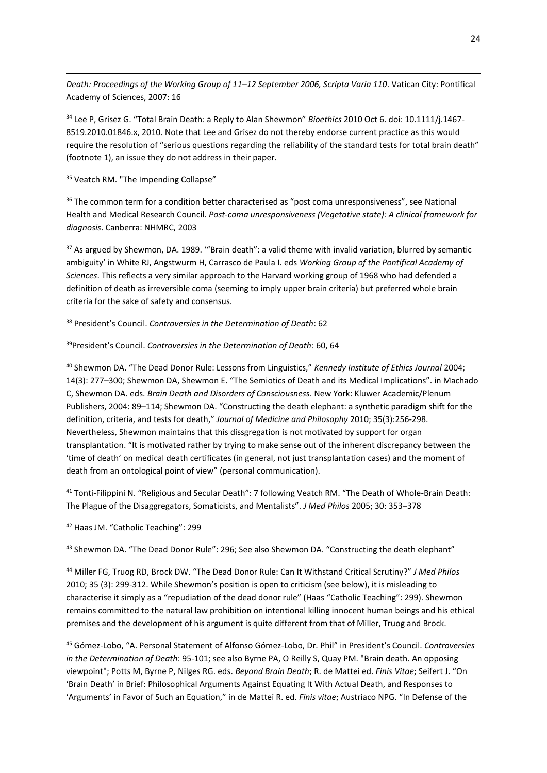*Death: Proceedings of the Working Group of 11–12 September 2006, Scripta Varia 110*. Vatican City: Pontifical Academy of Sciences, 2007: 16

<sup>34</sup> Lee P, Grisez G. "Total Brain Death: a Reply to Alan Shewmon" *Bioethics* 2010 Oct 6. doi: 10.1111/j.1467- 8519.2010.01846.x, 2010. Note that Lee and Grisez do not thereby endorse current practice as this would require the resolution of "serious questions regarding the reliability of the standard tests for total brain death" (footnote 1), an issue they do not address in their paper.

<sup>35</sup> Veatch RM. "The Impending Collapse"

**.** 

<sup>36</sup> The common term for a condition better characterised as "post coma unresponsiveness", see National Health and Medical Research Council. *Post-coma unresponsiveness (Vegetative state): A clinical framework for diagnosis*. Canberra: NHMRC, 2003

 $37$  As argued by Shewmon, DA, 1989. ""Brain death": a valid theme with invalid variation, blurred by semantic ambiguity' in White RJ, Angstwurm H, Carrasco de Paula I. eds *Working Group of the Pontifical Academy of Sciences*. This reflects a very similar approach to the Harvard working group of 1968 who had defended a definition of death as irreversible coma (seeming to imply upper brain criteria) but preferred whole brain criteria for the sake of safety and consensus.

<sup>38</sup> President's Council. *Controversies in the Determination of Death*: 62

<sup>39</sup>President's Council. *Controversies in the Determination of Death*: 60, 64

<sup>40</sup> Shewmon DA. "The Dead Donor Rule: Lessons from Linguistics," *Kennedy Institute of Ethics Journal* 2004; 14(3): 277–300; Shewmon DA, Shewmon E. "The Semiotics of Death and its Medical Implications". in Machado C, Shewmon DA. eds. *Brain Death and Disorders of Consciousness*. New York: Kluwer Academic/Plenum Publishers, 2004: 89–114; Shewmon DA. "Constructing the death elephant: a synthetic paradigm shift for the definition, criteria, and tests for death," *Journal of Medicine and Philosophy* 2010; 35(3):256-298. Nevertheless, Shewmon maintains that this dissgregation is not motivated by support for organ transplantation. "It is motivated rather by trying to make sense out of the inherent discrepancy between the 'time of death' on medical death certificates (in general, not just transplantation cases) and the moment of death from an ontological point of view" (personal communication).

<sup>41</sup> Tonti-Filippini N. "Religious and Secular Death": 7 following Veatch RM. "The Death of Whole-Brain Death: The Plague of the Disaggregators, Somaticists, and Mentalists". *J Med Philos* 2005; 30: 353–378

<sup>42</sup> Haas JM. "Catholic Teaching": 299

<sup>43</sup> Shewmon DA. "The Dead Donor Rule": 296; See also Shewmon DA. "Constructing the death elephant"

<sup>44</sup> Miller FG, Truog RD, Brock DW. "The Dead Donor Rule: Can It Withstand Critical Scrutiny?" *J Med Philos* 2010; 35 (3): 299-312. While Shewmon's position is open to criticism (see below), it is misleading to characterise it simply as a "repudiation of the dead donor rule" (Haas "Catholic Teaching": 299). Shewmon remains committed to the natural law prohibition on intentional killing innocent human beings and his ethical premises and the development of his argument is quite different from that of Miller, Truog and Brock.

<sup>45</sup> Gómez-Lobo, "A. Personal Statement of Alfonso Gómez-Lobo, Dr. Phil" in President's Council. *Controversies in the Determination of Death*: 95-101; see also Byrne PA, O Reilly S, Quay PM. "Brain death. An opposing viewpoint"; Potts M, Byrne P, Nilges RG. eds. *Beyond Brain Death*; R. de Mattei ed. *Finis Vitae*; Seifert J. "On 'Brain Death' in Brief: Philosophical Arguments Against Equating It With Actual Death, and Responses to 'Arguments' in Favor of Such an Equation," in de Mattei R. ed. *Finis vitae*; Austriaco NPG. "In Defense of the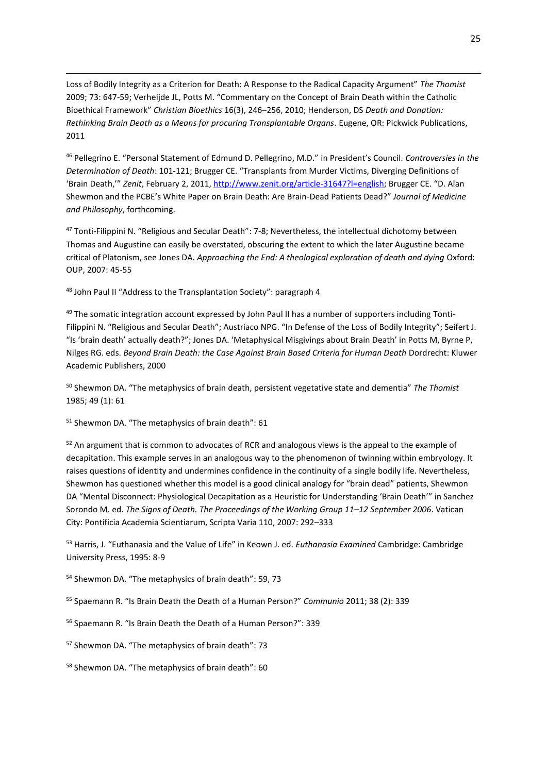Loss of Bodily Integrity as a Criterion for Death: A Response to the Radical Capacity Argument" *The Thomist* 2009; 73: 647-59; Verheijde JL, Potts M. "Commentary on the Concept of Brain Death within the Catholic Bioethical Framework" *Christian Bioethics* 16(3), 246–256, 2010; Henderson, DS *Death and Donation: Rethinking Brain Death as a Means for procuring Transplantable Organs.* Eugene, OR: Pickwick Publications, 2011

<sup>46</sup> Pellegrino E. "Personal Statement of Edmund D. Pellegrino, M.D." in President's Council. *Controversies in the Determination of Death*: 101-121; Brugger CE. "Transplants from Murder Victims, Diverging Definitions of 'Brain Death,'" *Zenit*, February 2, 2011[, http://www.zenit.org/article-31647?l=english](http://www.zenit.org/article-31647?l=english); Brugger CE. "D. Alan Shewmon and the PCBE's White Paper on Brain Death: Are Brain-Dead Patients Dead?" *Journal of Medicine and Philosophy*, forthcoming.

47 Tonti-Filippini N. "Religious and Secular Death": 7-8; Nevertheless, the intellectual dichotomy between Thomas and Augustine can easily be overstated, obscuring the extent to which the later Augustine became critical of Platonism, see Jones DA. *Approaching the End: A theological exploration of death and dying* Oxford: OUP, 2007: 45-55

48 John Paul II "Address to the Transplantation Society": paragraph 4

<sup>49</sup> The somatic integration account expressed by John Paul II has a number of supporters including Tonti-Filippini N. "Religious and Secular Death"; Austriaco NPG. "In Defense of the Loss of Bodily Integrity"; Seifert J. "Is 'brain death' actually death?"; Jones DA. 'Metaphysical Misgivings about Brain Death' in Potts M, Byrne P, Nilges RG. eds. *Beyond Brain Death: the Case Against Brain Based Criteria for Human Death* Dordrecht: Kluwer Academic Publishers, 2000

<sup>50</sup> Shewmon DA. "The metaphysics of brain death, persistent vegetative state and dementia" *The Thomist* 1985; 49 (1): 61

<sup>51</sup> Shewmon DA. "The metaphysics of brain death": 61

**.** 

<sup>52</sup> An argument that is common to advocates of RCR and analogous views is the appeal to the example of decapitation. This example serves in an analogous way to the phenomenon of twinning within embryology. It raises questions of identity and undermines confidence in the continuity of a single bodily life. Nevertheless, Shewmon has questioned whether this model is a good clinical analogy for "brain dead" patients, Shewmon DA "Mental Disconnect: Physiological Decapitation as a Heuristic for Understanding 'Brain Death'" in Sanchez Sorondo M. ed. *The Signs of Death. The Proceedings of the Working Group 11–12 September 2006*. Vatican City: Pontificia Academia Scientiarum, Scripta Varia 110, 2007: 292–333

<sup>53</sup> Harris, J. "Euthanasia and the Value of Life" in Keown J. ed. *Euthanasia Examined* Cambridge: Cambridge University Press, 1995: 8-9

<sup>54</sup> Shewmon DA. "The metaphysics of brain death": 59, 73

<sup>55</sup> Spaemann R. "Is Brain Death the Death of a Human Person?" *Communio* 2011; 38 (2): 339

<sup>56</sup> Spaemann R. "Is Brain Death the Death of a Human Person?": 339

<sup>57</sup> Shewmon DA. "The metaphysics of brain death": 73

58 Shewmon DA. "The metaphysics of brain death": 60